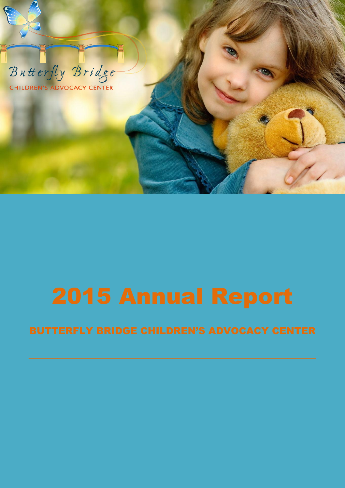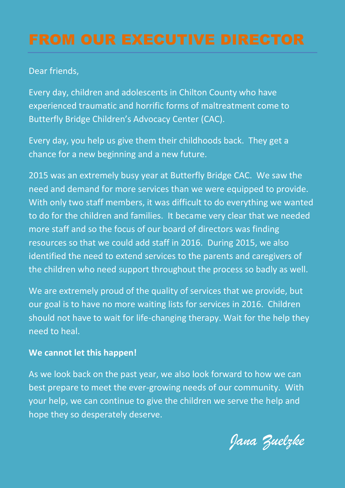Dear friends,

Every day, children and adolescents in Chilton County who have experienced traumatic and horrific forms of maltreatment come to Butterfly Bridge Children's Advocacy Center (CAC).

Every day, you help us give them their childhoods back. They get a chance for a new beginning and a new future.

2015 was an extremely busy year at Butterfly Bridge CAC. We saw the need and demand for more services than we were equipped to provide. With only two staff members, it was difficult to do everything we wanted to do for the children and families. It became very clear that we needed more staff and so the focus of our board of directors was finding resources so that we could add staff in 2016. During 2015, we also identified the need to extend services to the parents and caregivers of the children who need support throughout the process so badly as well.

We are extremely proud of the quality of services that we provide, but our goal is to have no more waiting lists for services in 2016. Children should not have to wait for life-changing therapy. Wait for the help they need to heal.

### **We cannot let this happen!**

As we look back on the past year, we also look forward to how we can best prepare to meet the ever-growing needs of our community. With your help, we can continue to give the children we serve the help and hope they so desperately deserve.

*Jana Zuelzke*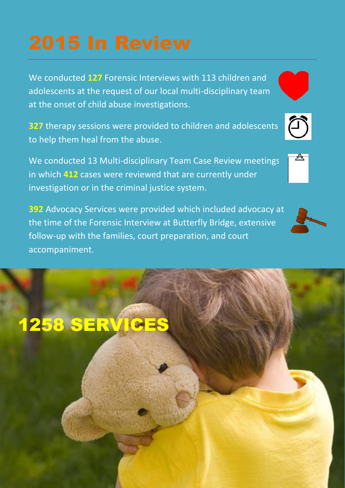We conducted **127** Forensic Interviews with 113 children and adolescents at the request of our local multi-disciplinary team at the onset of child abuse investigations.

**327** therapy sessions were provided to children and adolescents to help them heal from the abuse.

We conducted 13 Multi-disciplinary Team Case Review meetings in which **412** cases were reviewed that are currently under investigation or in the criminal justice system.

**392** Advocacy Services were provided which included advocacy at the time of the Forensic Interview at Butterfly Bridge, extensive follow-up with the families, court preparation, and court accompaniment.









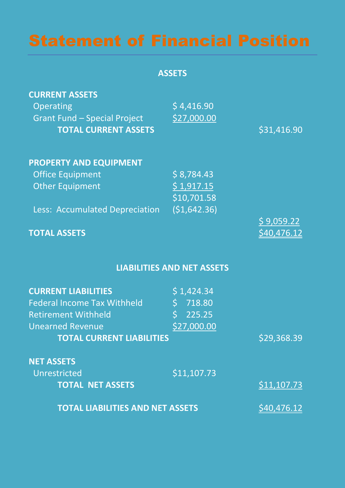**ASSETS**

| <b>CURRENT ASSETS</b>               |                                   |             |
|-------------------------------------|-----------------------------------|-------------|
| Operating                           | \$4,416.90                        |             |
| <b>Grant Fund - Special Project</b> | \$27,000.00                       |             |
| <b>TOTAL CURRENT ASSETS</b>         |                                   | \$31,416.90 |
| <b>PROPERTY AND EQUIPMENT</b>       |                                   |             |
| <b>Office Equipment</b>             | \$8,784.43                        |             |
| <b>Other Equipment</b>              | \$1,917.15<br>\$10,701.58         |             |
| Less: Accumulated Depreciation      | (\$1,642.36)                      |             |
|                                     |                                   | \$9,059.22  |
| <b>TOTAL ASSETS</b>                 |                                   | \$40,476.12 |
|                                     |                                   |             |
|                                     | <b>LIABILITIES AND NET ASSETS</b> |             |
| <b>CURRENT LIABILITIES</b>          | \$1,424.34                        |             |
| <b>Federal Income Tax Withheld</b>  | \$718.80                          |             |
| <b>Retirement Withheld</b>          | $\sqrt{225.25}$                   |             |
| <b>Unearned Revenue</b>             | \$27,000.00                       |             |
| <b>TOTAL CURRENT LIABILITIES</b>    |                                   | \$29,368.39 |
| <b>NET ASSETS</b>                   |                                   |             |
| Unrestricted                        | \$11,107.73                       |             |
| <b>TOTAL NET ASSETS</b>             |                                   | \$11,107.73 |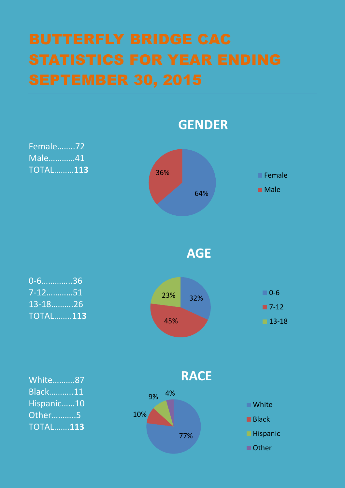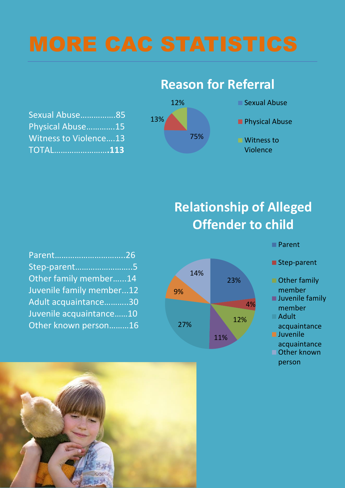| Sexual Abuse85               |  |
|------------------------------|--|
| Physical Abuse15             |  |
| <b>Witness to Violence13</b> |  |
| <b>TOTAL113</b>              |  |





**Relationship of Alleged Offender to child**

| Parent26                 |  |
|--------------------------|--|
| Step-parent5             |  |
| Other family member14    |  |
| Juvenile family member12 |  |
| Adult acquaintance30     |  |
| Juvenile acquaintance10  |  |
| Other known person16     |  |



Parent

■ Step-parent

- Other family member
- **Juvenile family** member
- Adult
- acquaintance **Juvenile**
- acquaintance ■ Other known person

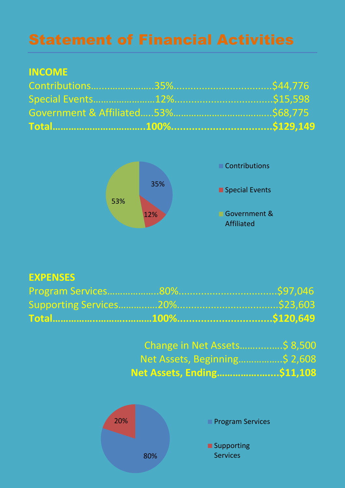# **INCOME**



# **EXPENSES**

| Change in Net Assets\$ 8,500 |  |
|------------------------------|--|
|                              |  |
| Net Assets, Ending\$11,108   |  |